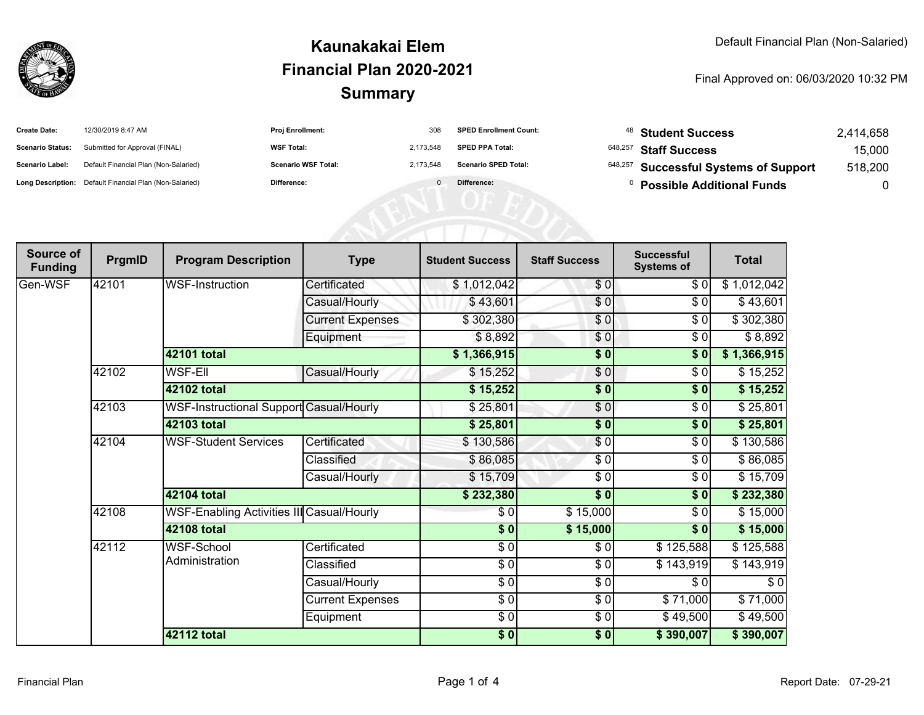

## **SummaryKaunakakai ElemFinancial Plan 2020-2021**

Final Approved on: 06/03/2020 10:32 PM

| <b>Create Date:</b>     | 12/30/2019 8:47 AM                                      | <b>Proj Enrollment:</b>    | 308       | <b>SPED Enrollment Count:</b> | <sup>48</sup> Student Success         | 2,414,658 |
|-------------------------|---------------------------------------------------------|----------------------------|-----------|-------------------------------|---------------------------------------|-----------|
| <b>Scenario Status:</b> | Submitted for Approval (FINAL)                          | <b>WSF Total:</b>          | 2.173.548 | <b>SPED PPA Total:</b>        | <sup>648,257</sup> Staff Success      | 15,000    |
| <b>Scenario Label:</b>  | Default Financial Plan (Non-Salaried)                   | <b>Scenario WSF Total:</b> | 2.173.548 | <b>Scenario SPED Total:</b>   | 648,257 Successful Systems of Support | 518,200   |
|                         | Long Description: Default Financial Plan (Non-Salaried) | Difference:                |           | Difference:                   | <b>Possible Additional Funds</b>      |           |

| Source of<br><b>Funding</b> | PrgmID | <b>Program Description</b>                       | <b>Type</b>             | <b>Student Success</b> | <b>Staff Success</b> | <b>Successful</b><br><b>Systems of</b> | <b>Total</b> |
|-----------------------------|--------|--------------------------------------------------|-------------------------|------------------------|----------------------|----------------------------------------|--------------|
| Gen-WSF                     | 42101  | <b>WSF-Instruction</b>                           | Certificated            | \$1,012,042            | \$0                  | \$0                                    | \$1,012,042  |
|                             |        |                                                  | Casual/Hourly           | \$43,601               | \$0                  | \$0                                    | \$43,601     |
|                             |        |                                                  | <b>Current Expenses</b> | \$302,380              | \$0                  | \$0                                    | \$302,380    |
|                             |        |                                                  | Equipment               | \$8,892                | \$0                  | $\frac{1}{\sqrt{2}}$                   | \$8,892      |
|                             |        | <b>42101 total</b>                               |                         | \$1,366,915            | $\frac{1}{2}$        | $\frac{1}{2}$                          | \$1,366,915  |
|                             | 42102  | <b>WSF-EII</b>                                   | Casual/Hourly           | \$15,252               | \$0                  | \$0                                    | \$15,252     |
|                             |        | 42102 total                                      |                         | \$15,252               | \$0                  | \$0                                    | \$15,252     |
|                             | 42103  | WSF-Instructional Support Casual/Hourly          |                         | \$25,801               | $\frac{6}{2}$        | \$0                                    | \$25,801     |
|                             |        | 42103 total                                      |                         | \$25,801               | $\frac{1}{2}$        | \$0                                    | \$25,801     |
|                             | 42104  | <b>WSF-Student Services</b>                      | Certificated            | \$130,586              | $\frac{1}{\sqrt{2}}$ | \$0                                    | \$130,586    |
|                             |        |                                                  | Classified              | \$86,085               | \$0                  | \$0                                    | \$86,085     |
|                             |        |                                                  | Casual/Hourly           | \$15,709               | $\frac{3}{2}$        | \$0                                    | \$15,709     |
|                             |        | <b>42104 total</b>                               |                         | \$232,380              | $\sqrt{6}$           | $\frac{1}{2}$                          | \$232,380    |
|                             | 42108  | <b>WSF-Enabling Activities III Casual/Hourly</b> |                         | \$0                    | \$15,000             | \$0                                    | \$15,000     |
|                             |        | 42108 total                                      |                         | \$0                    | \$15,000             | \$0                                    | \$15,000     |
|                             | 42112  | <b>WSF-School</b><br>Administration              | Certificated            | \$0                    | \$0                  | \$125,588                              | \$125,588    |
|                             |        |                                                  | Classified              | \$0                    | $\frac{1}{\epsilon}$ | \$143,919                              | \$143,919    |
|                             |        |                                                  | Casual/Hourly           | $\frac{3}{6}$          | \$0                  | \$0                                    | \$0          |
|                             |        |                                                  | <b>Current Expenses</b> | $\frac{1}{\epsilon}$   | \$0                  | \$71,000                               | \$71,000     |
|                             |        |                                                  | Equipment               | $\frac{3}{6}$          | \$0                  | \$49,500                               | \$49,500     |
|                             |        | <b>42112 total</b>                               |                         | \$0]                   | \$0]                 | \$390,007                              | \$390,007    |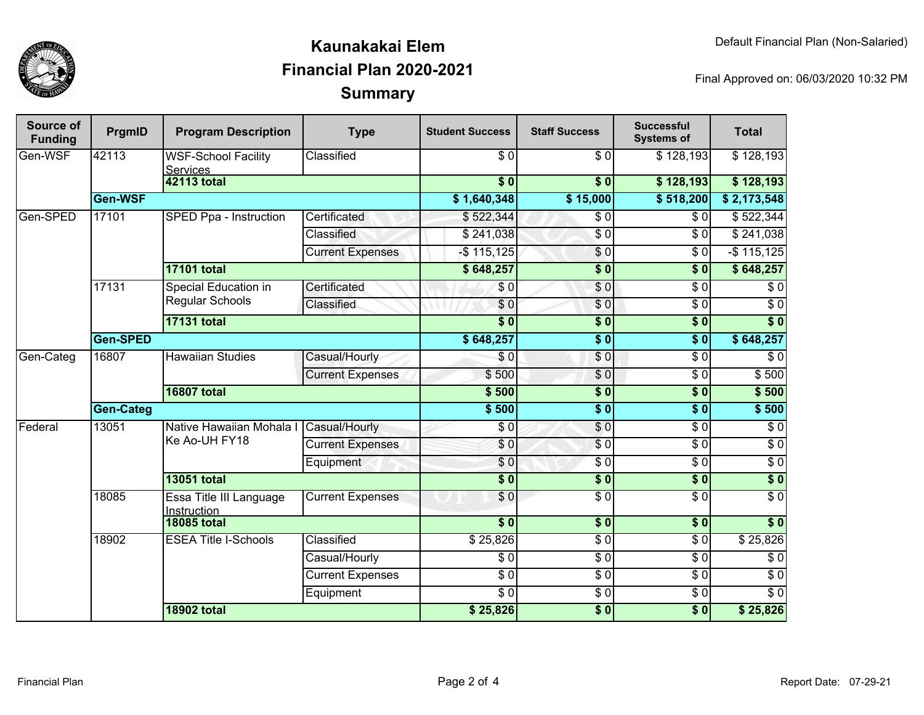

## **SummaryKaunakakai ElemFinancial Plan 2020-2021**

Final Approved on: 06/03/2020 10:32 PM

| Source of<br><b>Funding</b> | PrgmID           | <b>Program Description</b>                     | <b>Type</b>             | <b>Student Success</b> | <b>Staff Success</b> | <b>Successful</b><br><b>Systems of</b> | <b>Total</b>             |
|-----------------------------|------------------|------------------------------------------------|-------------------------|------------------------|----------------------|----------------------------------------|--------------------------|
| Gen-WSF                     | 42113            | <b>WSF-School Facility</b><br><b>Services</b>  | Classified              | $\overline{S}0$        | $\overline{\$0}$     | \$128,193                              | \$128,193                |
|                             |                  | <b>42113 total</b>                             |                         | $\overline{\$0}$       | $\overline{\$}0$     | \$128,193                              | \$128,193                |
|                             | Gen-WSF          |                                                |                         | \$1,640,348            | \$15,000             | \$518,200                              | \$2,173,548              |
| Gen-SPED                    | 17101            | SPED Ppa - Instruction                         | Certificated            | \$522,344              | $\overline{\$0}$     | $\overline{\$0}$                       | \$522,344                |
|                             |                  |                                                | Classified              | \$241,038              | $\overline{\$0}$     | \$0                                    | \$241,038                |
|                             |                  |                                                | <b>Current Expenses</b> | $-$115,125$            | $\sqrt{6}$           | $\overline{\$0}$                       | $-$ \$115,125            |
|                             |                  | <b>17101 total</b>                             |                         | \$648,257              | $\overline{\$0}$     | $\overline{\textbf{S}^0}$              | \$648,257                |
|                             | 17131            | Special Education in<br><b>Regular Schools</b> | Certificated            | \$0                    | \$0                  | \$0                                    | \$0                      |
|                             |                  |                                                | Classified              | \$0                    | $\sqrt{0}$           | $\overline{\$0}$                       | $\overline{\$0}$         |
|                             |                  | <b>17131 total</b>                             |                         | $\overline{\bullet}$   | \$0                  | $\overline{\$}0$                       | $\frac{1}{6}$            |
|                             | Gen-SPED         |                                                |                         | \$648,257              | $\overline{\bullet}$ | s <sub>0</sub>                         | \$648,257                |
| Gen-Categ                   | 16807            | <b>Hawaiian Studies</b>                        | Casual/Hourly           | \$0                    | $\sqrt{6}$           | $\overline{\$0}$                       | $\sqrt{6}$               |
|                             |                  |                                                | <b>Current Expenses</b> | \$500                  | $\overline{\$0}$     | $\overline{\$0}$                       | \$500                    |
|                             |                  | <b>16807 total</b>                             |                         | \$500                  | $\overline{\$0}$     | $\overline{\$0}$                       | \$500                    |
|                             | <b>Gen-Categ</b> |                                                |                         | \$500                  | \$0                  | $\overline{\textbf{S}^0}$              | \$500                    |
| Federal                     | 13051            | Native Hawaiian Mohala I<br>Ke Ao-UH FY18      | Casual/Hourly           | \$0                    | \$0                  | $\overline{\$0}$                       | $\overline{\$0}$         |
|                             |                  |                                                | <b>Current Expenses</b> | \$0                    | $\overline{\$0}$     | $\overline{\$0}$                       | $\overline{\$0}$         |
|                             |                  |                                                | Equipment               | \$0                    | $\overline{\$0}$     | $\overline{\$0}$                       | $\sqrt{6}$               |
|                             |                  | <b>13051 total</b>                             |                         | $\frac{1}{6}$          | $\sqrt{6}$           | $\overline{\$0}$                       | \$0                      |
|                             | 18085            | Essa Title III Language<br>Instruction         | <b>Current Expenses</b> | \$0                    | $\overline{\$0}$     | $\overline{\$0}$                       | $\overline{\$0}$         |
|                             |                  | <b>18085 total</b>                             |                         | $\overline{\bullet}$   | \$0                  | \$0                                    | $\sqrt{6}$               |
|                             | 18902            | <b>ESEA Title I-Schools</b>                    | Classified              | \$25,826               | $\sqrt{6}$           | $\sqrt{6}$                             | \$25,826                 |
|                             |                  |                                                | Casual/Hourly           | $\sqrt{6}$             | $\sqrt{6}$           | $\sqrt{6}$                             | $\frac{1}{\sqrt{2}}$     |
|                             |                  |                                                | <b>Current Expenses</b> | $\overline{S}0$        | $\sqrt{6}$           | $\sqrt{6}$                             | $\overline{\$0}$         |
|                             |                  |                                                | Equipment               | $\sqrt{6}$             | $\sqrt{6}$           | $\sqrt{6}$                             | $\overline{\frac{1}{2}}$ |
|                             |                  | <b>18902 total</b>                             |                         | \$25,826               | $\overline{\$0}$     | $\overline{\$0}$                       | \$25,826                 |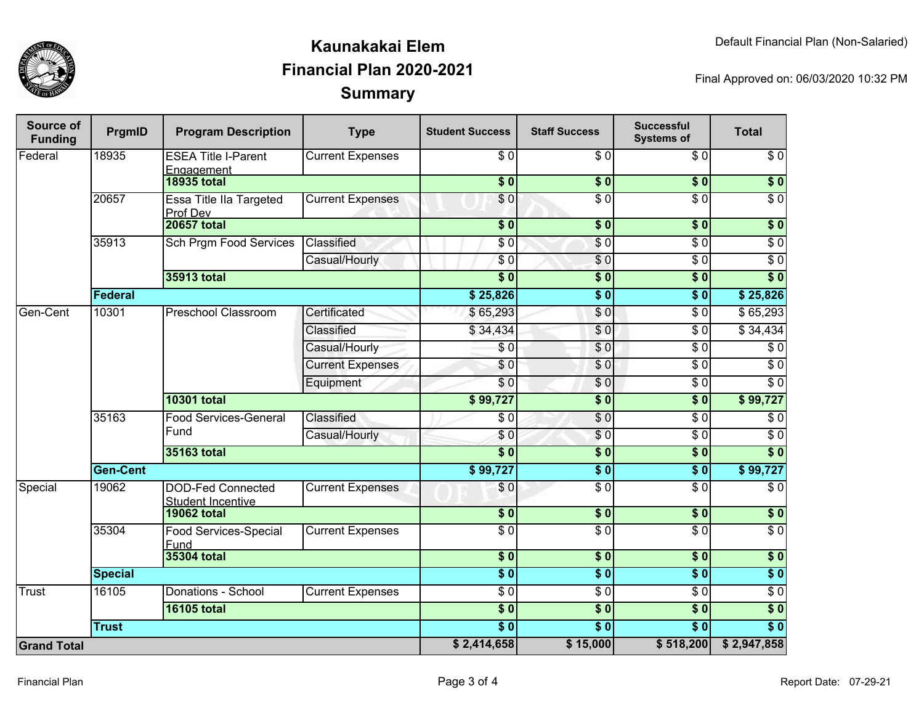

## **SummaryKaunakakai ElemFinancial Plan 2020-2021**

Final Approved on: 06/03/2020 10:32 PM

| <b>Source of</b><br><b>Funding</b> | PrgmID          | <b>Program Description</b>                           | <b>Type</b>             | <b>Student Success</b> | <b>Staff Success</b> | <b>Successful</b><br><b>Systems of</b> | <b>Total</b>     |
|------------------------------------|-----------------|------------------------------------------------------|-------------------------|------------------------|----------------------|----------------------------------------|------------------|
| Federal                            | 18935           | <b>ESEA Title I-Parent</b><br>Engagement             | <b>Current Expenses</b> | \$0                    | \$0                  | \$0                                    | $\sqrt{6}$       |
|                                    |                 | <b>18935 total</b>                                   |                         | $\overline{\$0}$       | $\overline{\$0}$     | $\overline{\$0}$                       | $\overline{\$0}$ |
|                                    | 20657           | Essa Title IIa Targeted<br>Prof Dev                  | <b>Current Expenses</b> | \$0                    | $\overline{\$0}$     | $\overline{\$0}$                       | $\overline{\$0}$ |
|                                    |                 | <b>20657 total</b>                                   |                         | $\overline{\$}0$       | \$0                  | $\overline{\$0}$                       | $\overline{\$0}$ |
|                                    | 35913           | <b>Sch Prgm Food Services</b>                        | Classified              | \$0                    | \$0                  | $\overline{\$0}$                       | $\sqrt{6}$       |
|                                    |                 |                                                      | Casual/Hourly           | \$0                    | \$0                  | $\sqrt{6}$                             | $\sqrt{6}$       |
|                                    |                 | 35913 total                                          |                         | $\overline{\$0}$       | $\sqrt{6}$           | $\overline{\$0}$                       | $\overline{\$0}$ |
|                                    | Federal         |                                                      |                         | \$25,826               | $\overline{\$0}$     | $\overline{\$0}$                       | \$25,826         |
| Gen-Cent                           | 10301           | <b>Preschool Classroom</b>                           | Certificated            | \$65,293               | \$0                  | $\sqrt{6}$                             | \$65,293         |
|                                    |                 |                                                      | Classified              | \$34,434               | \$0                  | $\sqrt{6}$                             | \$34,434         |
|                                    |                 |                                                      | Casual/Hourly           | $\sqrt{6}$             | \$0                  | $\sqrt{6}$                             | $\sqrt{6}$       |
|                                    |                 |                                                      | <b>Current Expenses</b> | \$0                    | \$0                  | $\overline{\$0}$                       | $\overline{\$0}$ |
|                                    |                 |                                                      | Equipment               | \$0                    | \$0                  | $\overline{S}0$                        | $\overline{30}$  |
|                                    |                 | <b>10301 total</b>                                   |                         | \$99,727               | $\overline{\$0}$     | $\overline{\$0}$                       | \$99,727         |
|                                    | 35163           | <b>Food Services-General</b><br>Fund                 | Classified              | $\sqrt{6}$             | $\overline{S}0$      | $\sqrt{6}$                             | $\sqrt{6}$       |
|                                    |                 |                                                      | Casual/Hourly           | \$0                    | \$0                  | $\overline{\$0}$                       | $\sqrt{6}$       |
|                                    |                 | 35163 total                                          |                         | $\overline{\$0}$       | $\overline{\$0}$     | $\overline{\$0}$                       | $\overline{\$0}$ |
|                                    | <b>Gen-Cent</b> |                                                      | \$99,727                | \$0                    | $\overline{\$0}$     | \$99,727                               |                  |
| Special                            | 19062           | <b>DOD-Fed Connected</b><br><b>Student Incentive</b> | <b>Current Expenses</b> | \$0                    | $\overline{30}$      | $\overline{\$0}$                       | $\sqrt{6}$       |
|                                    |                 | <b>19062 total</b>                                   |                         | $\overline{\$0}$       | $\overline{\$0}$     | $\overline{\$0}$                       | $\overline{\$0}$ |
|                                    | 35304           | Food Services-Special<br>Fund                        | <b>Current Expenses</b> | $\overline{\$0}$       | $\overline{50}$      | $\overline{\$0}$                       | $\overline{\$0}$ |
|                                    |                 | 35304 total                                          |                         | $\overline{\$0}$       | \$0                  | $\overline{\$0}$                       | $\sqrt{6}$       |
|                                    | <b>Special</b>  |                                                      |                         | $\overline{\$0}$       | $\overline{\$0}$     | $\overline{\$0}$                       | $\overline{\$0}$ |
| Trust                              | 16105           | Donations - School                                   | <b>Current Expenses</b> | $\overline{\$0}$       | $\overline{\$0}$     | $\overline{\$0}$                       | $\overline{30}$  |
|                                    |                 | <b>16105 total</b>                                   |                         | $\overline{\$0}$       | $\overline{\$0}$     | $\sqrt{6}$                             | $\overline{\$0}$ |
|                                    | <b>Trust</b>    |                                                      |                         | s <sub>0</sub>         | $\overline{\$0}$     | $\overline{\$0}$                       | $\overline{\$0}$ |
| <b>Grand Total</b>                 |                 |                                                      |                         | \$2,414,658            | \$15,000             | \$518,200                              | \$2,947,858      |